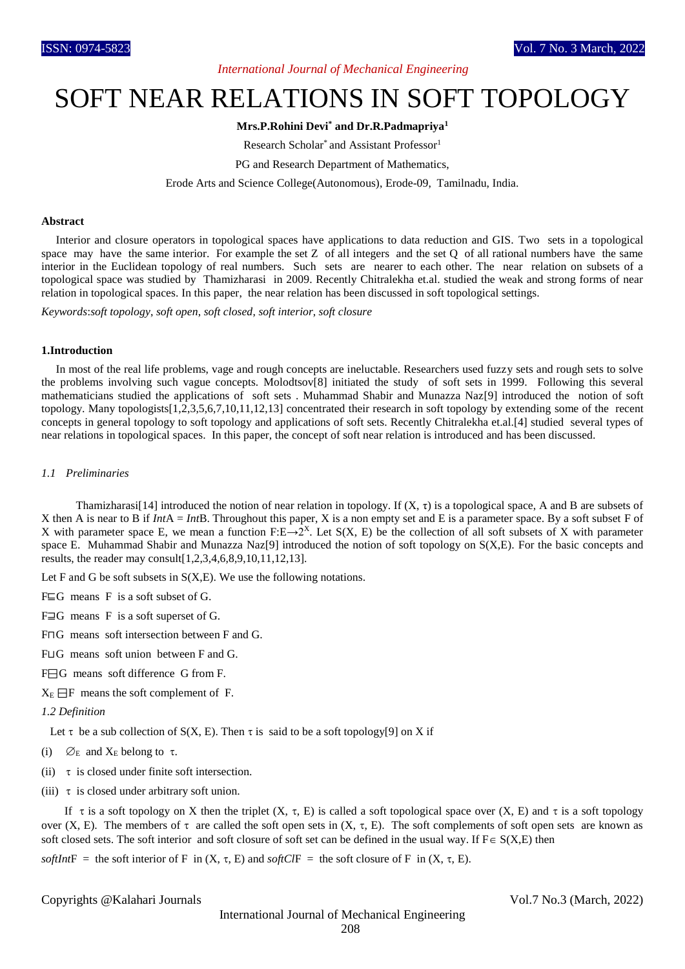# *International Journal of Mechanical Engineering*

# SOFT NEAR RELATIONS IN SOFT TOPOLOGY

# **Mrs.P.Rohini Devi\* and Dr.R.Padmapriya<sup>1</sup>**

Research Scholar<sup>\*</sup> and Assistant Professor<sup>1</sup>

PG and Research Department of Mathematics,

Erode Arts and Science College(Autonomous), Erode-09, Tamilnadu, India.

## **Abstract**

 Interior and closure operators in topological spaces have applications to data reduction and GIS. Two sets in a topological space may have the same interior. For example the set  $Z$  of all integers and the set  $Q$  of all rational numbers have the same interior in the Euclidean topology of real numbers. Such sets are nearer to each other. The near relation on subsets of a topological space was studied by Thamizharasi in 2009. Recently Chitralekha et.al. studied the weak and strong forms of near relation in topological spaces. In this paper, the near relation has been discussed in soft topological settings.

*Keywords*:*soft topology*, *soft open*, *soft closed*, *soft interior*, *soft closure*

## **1.Introduction**

 In most of the real life problems, vage and rough concepts are ineluctable. Researchers used fuzzy sets and rough sets to solve the problems involving such vague concepts. Molodtsov[8] initiated the study of soft sets in 1999. Following this several mathematicians studied the applications of soft sets . Muhammad Shabir and Munazza Naz[9] introduced the notion of soft topology. Many topologists[1,2,3,5,6,7,10,11,12,13] concentrated their research in soft topology by extending some of the recent concepts in general topology to soft topology and applications of soft sets. Recently Chitralekha et.al.[4] studied several types of near relations in topological spaces. In this paper, the concept of soft near relation is introduced and has been discussed.

#### *1.1 Preliminaries*

**Thamizharasi**[14] introduced the notion of near relation in topology. If  $(X, τ)$  is a topological space, A and B are subsets of X then A is near to B if *Int*A = *Int*B. Throughout this paper, X is a non empty set and E is a parameter space. By a soft subset F of X with parameter space E, we mean a function F:E→2<sup>X</sup>. Let S(X, E) be the collection of all soft subsets of X with parameter space E. Muhammad Shabir and Munazza Naz[9] introduced the notion of soft topology on S(X,E). For the basic concepts and results, the reader may consult[1,2,3,4,6,8,9,10,11,12,13].

Let F and G be soft subsets in  $S(X,E)$ . We use the following notations.

F⊑G means F is a soft subset of G.

- F⊒G means F is a soft superset of G.
- F⊓G means soft intersection between F and G.
- F⊔G means soft union between F and G.

F⊟G means soft difference G from F.

 $X_E \square F$  means the soft complement of F.

# *1.2 Definition*

Let  $\tau$  be a sub collection of S(X, E). Then  $\tau$  is said to be a soft topology[9] on X if

- (i)  $\varnothing$ <sub>E</sub> and X<sub>E</sub> belong to  $\tau$ .
- (ii)  $\tau$  is closed under finite soft intersection.
- (iii)  $\tau$  is closed under arbitrary soft union.

If  $\tau$  is a soft topology on X then the triplet  $(X, \tau, E)$  is called a soft topological space over  $(X, E)$  and  $\tau$  is a soft topology over  $(X, E)$ . The members of  $\tau$  are called the soft open sets in  $(X, \tau, E)$ . The soft complements of soft open sets are known as soft closed sets. The soft interior and soft closure of soft set can be defined in the usual way. If  $F \in S(X,E)$  then

 $\text{softmax} =$  the soft interior of F in  $(X, \tau, E)$  and *softClF* = the soft closure of F in  $(X, \tau, E)$ .

Copyrights @Kalahari Journals Vol.7 No.3 (March, 2022)

International Journal of Mechanical Engineering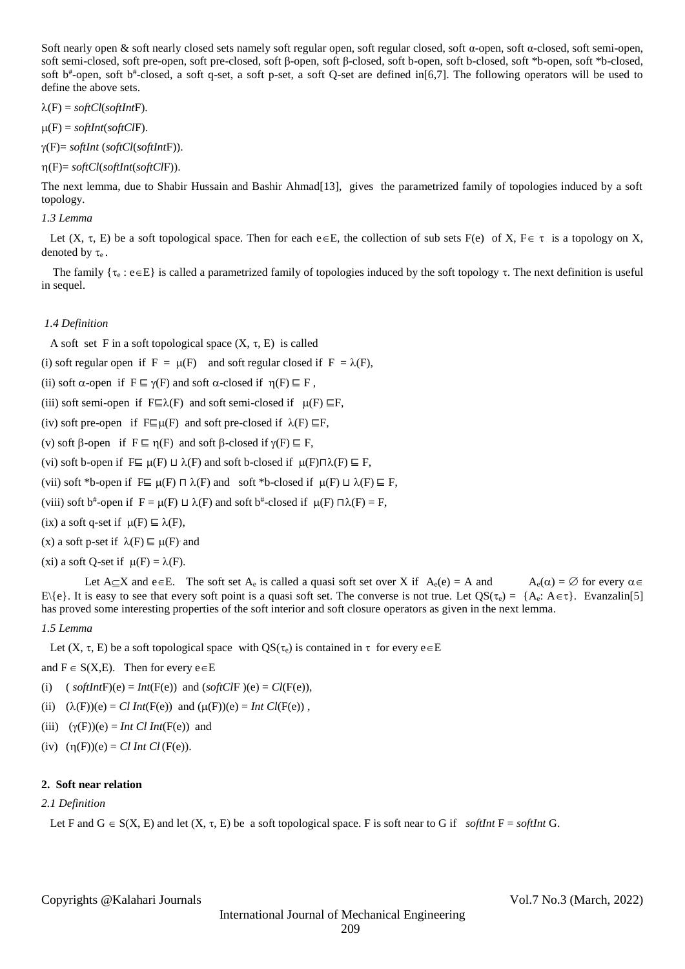Soft nearly open & soft nearly closed sets namely soft regular open, soft regular closed, soft α-open, soft α-closed, soft semi-open, soft semi-closed, soft pre-open, soft pre-closed, soft β-open, soft β-closed, soft b-open, soft b-closed, soft \*b-open, soft \*b-closed, soft b<sup>#</sup>-open, soft b<sup>#</sup>-closed, a soft q-set, a soft p-set, a soft Q-set are defined in[6,7]. The following operators will be used to define the above sets.

 $\lambda(F) = softCl(softIntF).$ 

(F) = *softInt*(*softCl*F).

(F)= *softInt* (*softCl*(*softInt*F)).

(F)= *softCl*(*softInt*(*softCl*F)).

The next lemma, due to Shabir Hussain and Bashir Ahmad[13], gives the parametrized family of topologies induced by a soft topology.

# *1.3 Lemma*

Let  $(X, \tau, E)$  be a soft topological space. Then for each e $\in E$ , the collection of sub sets  $F(e)$  of X,  $F \in \tau$  is a topology on X, denoted by  $\tau_e$ .

The family  $\{\tau_e : e \in E\}$  is called a parametrized family of topologies induced by the soft topology  $\tau$ . The next definition is useful in sequel.

# *1.4 Definition*

A soft set F in a soft topological space  $(X, \tau, E)$  is called

(i) soft regular open if  $F = \mu(F)$  and soft regular closed if  $F = \lambda(F)$ ,

(ii) soft  $\alpha$ -open if  $F \sqsubseteq \gamma(F)$  and soft  $\alpha$ -closed if  $\eta(F) \sqsubseteq F$ ,

(iii) soft semi-open if  $F \sqsubseteq \lambda(F)$  and soft semi-closed if  $\mu(F) \sqsubseteq F$ ,

(iv) soft pre-open if F⊑ $\mu$ (F) and soft pre-closed if  $\lambda$ (F) ⊑F,

(v) soft  $\beta$ -open if  $F \sqsubseteq \eta(F)$  and soft  $\beta$ -closed if  $\gamma(F) \sqsubseteq F$ ,

(vi) soft b-open if  $F ⊆ µ(F) ⊔ \lambda(F)$  and soft b-closed if  $µ(F) ∩ \lambda(F) ⊆ F$ ,

(vii) soft \*b-open if  $F \sqsubseteq \mu(F) \sqcap \lambda(F)$  and soft \*b-closed if  $\mu(F) \sqcup \lambda(F) \sqsubseteq F$ ,

(viii) soft b<sup>#</sup>-open if  $F = \mu(F) \sqcup \lambda(F)$  and soft b<sup>#</sup>-closed if  $\mu(F) \sqcap \lambda(F) = F$ ,

(ix) a soft q-set if  $\mu(F) \subseteq \lambda(F)$ ,

(x) a soft p-set if  $\lambda(F) \sqsubseteq \mu(F)$  and

(xi) a soft Q-set if  $\mu(F) = \lambda(F)$ .

Let  $A \subseteq X$  and  $e \in E$ . The soft set  $A_e$  is called a quasi soft set over X if  $A_e(e) = A$  and  $A_e(\alpha) = \emptyset$  for every  $\alpha \in A_e$  $E\{e\}$ . It is easy to see that every soft point is a quasi soft set. The converse is not true. Let  $QS(\tau_e) = \{A_e: A \in \tau\}$ . Evanzalin[5] has proved some interesting properties of the soft interior and soft closure operators as given in the next lemma.

## *1.5 Lemma*

Let  $(X, \tau, E)$  be a soft topological space with  $QS(\tau_e)$  is contained in  $\tau$  for every  $e \in E$ 

and  $F \in S(X,E)$ . Then for every  $e \in E$ 

(i)  $\text{(} \text{softmax}(\mathbf{F})\text{(e)} = \text{Int}(\mathbf{F}(\mathbf{e})) \text{ and } \text{(} \text{soft} \text{CI}(\mathbf{F})) \text{(e)} = \text{CI}(\mathbf{F}(\mathbf{e})),$ 

- (ii)  $(\lambda(F))(e) = Cl Int(F(e))$  and  $(\mu(F))(e) = Int Cl(F(e))$ ,
- (iii)  $(\gamma(F))(e) = Int \ Cl \ Int(F(e))$  and
- (iv)  $(\eta(F))(e) = Cl Int Cl(F(e)).$

#### **2. Soft near relation**

# *2.1 Definition*

Let F and  $G \in S(X, E)$  and let  $(X, \tau, E)$  be a soft topological space. F is soft near to G if *softInt* F = *softInt* G.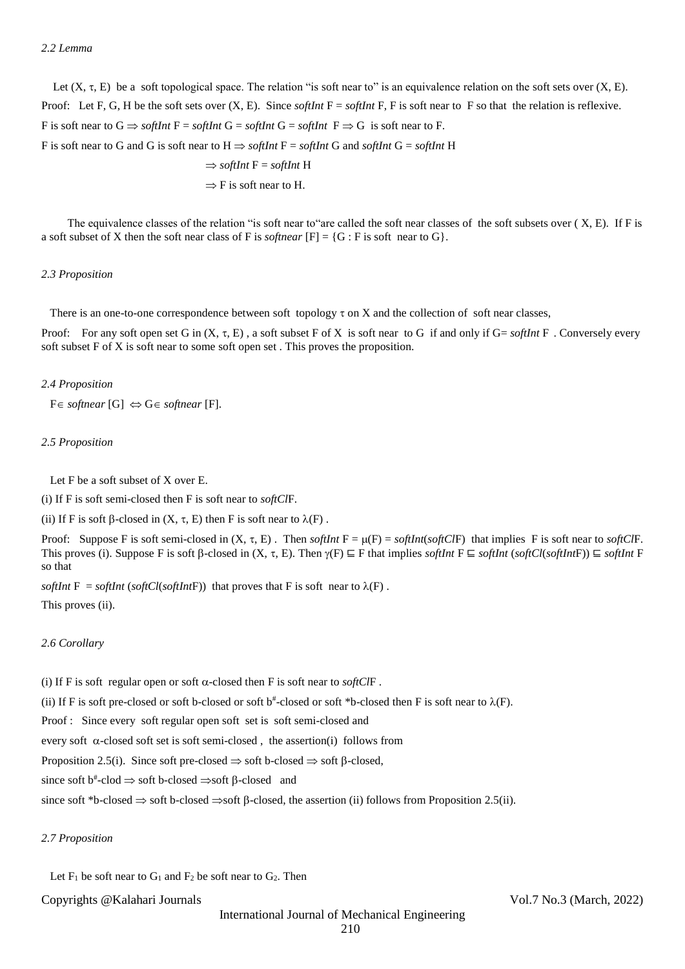Let  $(X, \tau, E)$  be a soft topological space. The relation "is soft near to" is an equivalence relation on the soft sets over  $(X, E)$ . Proof: Let F, G, H be the soft sets over  $(X, E)$ . Since *softInt*  $F =$  *softInt*  $F$ , F is soft near to F so that the relation is reflexive. F is soft near to  $G \implies$  *softInt*  $F =$  *softInt*  $G =$  *softInt*  $F \implies G$  is soft near to F. F is soft near to G and G is soft near to  $H \Rightarrow$  *softInt*  $F =$  *softInt* G and *softInt* G = *softInt* H  $\Rightarrow$  *softInt*  $F =$  *softInt* H

 $\Rightarrow$  F is soft near to H.

The equivalence classes of the relation "is soft near to "are called the soft near classes of the soft subsets over  $(X, E)$ . If F is a soft subset of X then the soft near class of F is *softnear* [F] = {G : F is soft near to G}.

#### *2.3 Proposition*

There is an one-to-one correspondence between soft topology  $\tau$  on X and the collection of soft near classes,

Proof: For any soft open set G in (X, , E) , a soft subset F of X is soft near to G if and only if G= *softInt* F . Conversely every soft subset F of X is soft near to some soft open set . This proves the proposition.

#### *2.4 Proposition*

 $F \in \text{softmax}[G] \Leftrightarrow G \in \text{softmax}[F].$ 

#### *2.5 Proposition*

Let F be a soft subset of X over E.

(i) If F is soft semi-closed then F is soft near to *softCl*F.

(ii) If F is soft  $\beta$ -closed in  $(X, \tau, E)$  then F is soft near to  $\lambda(F)$ .

Proof: Suppose F is soft semi-closed in  $(X, \tau, E)$ . Then *softInt*  $F = \mu(F) = \text{softmax}(\text{softCF})$  that implies F is soft near to *softClF*. This proves (i). Suppose F is soft  $\beta$ -closed in  $(X, \tau, E)$ . Then  $\gamma(F) \subseteq F$  that implies *softInt*  $F \subseteq$  *softInt* (*softCl(softInt*F))  $\subseteq$  *softInt* F so that

*softInt*  $F = \text{softmax}(\text{softCl}(\text{softIntF}))$  that proves that F is soft near to  $\lambda(F)$ . This proves (ii).

#### *2.6 Corollary*

(i) If F is soft regular open or soft  $\alpha$ -closed then F is soft near to *softClF*. (ii) If F is soft pre-closed or soft b-closed or soft  $b^*$ -closed or soft \*b-closed then F is soft near to  $\lambda(F)$ . Proof : Since every soft regular open soft set is soft semi-closed and every soft  $\alpha$ -closed soft set is soft semi-closed, the assertion(i) follows from Proposition 2.5(i). Since soft pre-closed  $\Rightarrow$  soft b-closed  $\Rightarrow$  soft  $\beta$ -closed, since soft  $b^*$ -clod  $\Rightarrow$  soft b-closed  $\Rightarrow$ soft  $\beta$ -closed and since soft \*b-closed  $\Rightarrow$  soft b-closed  $\Rightarrow$ soft  $\beta$ -closed, the assertion (ii) follows from Proposition 2.5(ii).

#### *2.7 Proposition*

Let  $F_1$  be soft near to  $G_1$  and  $F_2$  be soft near to  $G_2$ . Then

### Copyrights @Kalahari Journals Vol.7 No.3 (March, 2022)

International Journal of Mechanical Engineering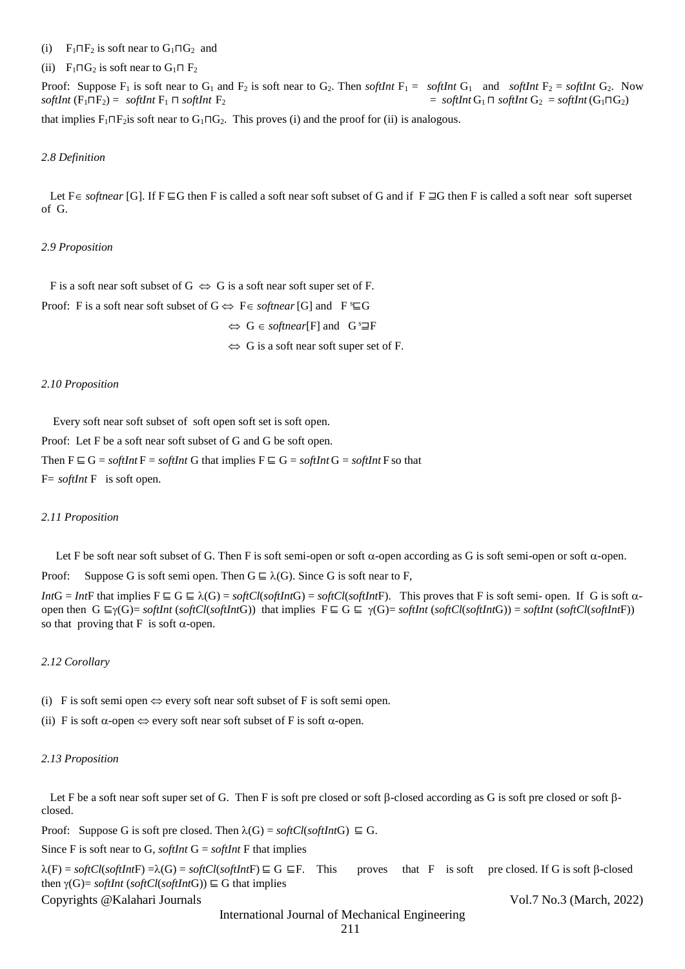#### (i) F<sub>1</sub> $\Pi$ F<sub>2</sub> is soft near to G<sub>1</sub> $\Pi$ G<sub>2</sub> and

#### (ii) F<sub>1</sub> $\Box G_2$  is soft near to  $G_1 \Box F_2$

Proof: Suppose  $F_1$  is soft near to  $G_1$  and  $F_2$  is soft near to  $G_2$ . Then *softInt*  $F_1 =$  *softInt*  $G_1$  and *softInt*  $F_2 =$  *softInt*  $G_2$ . Now  $\text{softmax}(F_1 \sqcap F_2) = \text{softmax}(F_1 \sqcap \text{softmax}(F_2)$  $=$  *softInt*  $G_1 \sqcap$  *softInt*  $G_2 =$  *softInt* ( $G_1 \sqcap G_2$ ) that implies  $F_1 \n \Pi F_2$  is soft near to  $G_1 \n \Pi G_2$ . This proves (i) and the proof for (ii) is analogous.

#### *2.8 Definition*

Let F∈ *softnear* [G]. If F ⊑G then F is called a soft near soft subset of G and if F ⊒G then F is called a soft near soft superset of G.

#### *2.9 Proposition*

F is a soft near soft subset of  $G \Leftrightarrow G$  is a soft near soft super set of F. Proof: F is a soft near soft subset of  $G \Leftrightarrow F \in \mathit{softmax}[G]$  and  $F$ <sup>s</sup> $\sqsubseteq G$ 

$$
\Leftrightarrow
$$
 G  $\in$  *softmax*[F] and G<sup>s</sup>  $\exists$ F

 $\Leftrightarrow$  G is a soft near soft super set of F.

## *2.10 Proposition*

Every soft near soft subset of soft open soft set is soft open.

Proof: Let F be a soft near soft subset of G and G be soft open.

Then  $F \subseteq G =$  *softInt*  $F =$  *softInt* G that implies  $F \subseteq G =$  *softInt*  $G =$  *softInt*  $F$  so that

F= *softInt* F is soft open.

#### *2.11 Proposition*

Let F be soft near soft subset of G. Then F is soft semi-open or soft  $\alpha$ -open according as G is soft semi-open or soft  $\alpha$ -open.

Proof: Suppose G is soft semi open. Then  $G \subseteq \lambda(G)$ . Since G is soft near to F,

*Int*G = *Int*F that implies  $F \subseteq G \subseteq \lambda(G) = softCl(softIntG) = softCl(softIntF)$ . This proves that F is soft semi- open. If G is soft  $\alpha$ open then  $G \sqsubseteq \gamma(G) = \text{softmax}(\text{softmax}(s \text{ of } G \sqcap G))$  that implies  $F \sqsubseteq G \sqsubseteq \gamma(G) = \text{softmax}(\text{softmax}(s \text{ of } G \sqcap G)) = \text{softmax}(\text{softmax}(s \text{ of } G \sqcap G))$ so that proving that F is soft  $\alpha$ -open.

#### *2.12 Corollary*

(i) F is soft semi open  $\Leftrightarrow$  every soft near soft subset of F is soft semi open.

(ii) F is soft  $\alpha$ -open  $\Leftrightarrow$  every soft near soft subset of F is soft  $\alpha$ -open.

#### *2.13 Proposition*

Let F be a soft near soft super set of G. Then F is soft pre closed or soft  $\beta$ -closed according as G is soft pre closed or soft  $\beta$ closed.

Proof: Suppose G is soft pre closed. Then  $\lambda(G) = softCl(softIntG) \subseteq G$ .

Since F is soft near to G, *softInt* G = *softInt* F that implies

 $\lambda(F) = \text{softCl}(\text{soft}F) = \lambda(G) = \text{softCl}(\text{soft}F) \sqsubseteq G \sqsubseteq F$ . This proves that F is soft pre closed. If G is soft  $\beta$ -closed then  $\gamma(G)$ = *softInt* (*softCl*(*softInt*G))  $\subseteq$  G that implies

# Copyrights @Kalahari Journals Vol.7 No.3 (March, 2022)

International Journal of Mechanical Engineering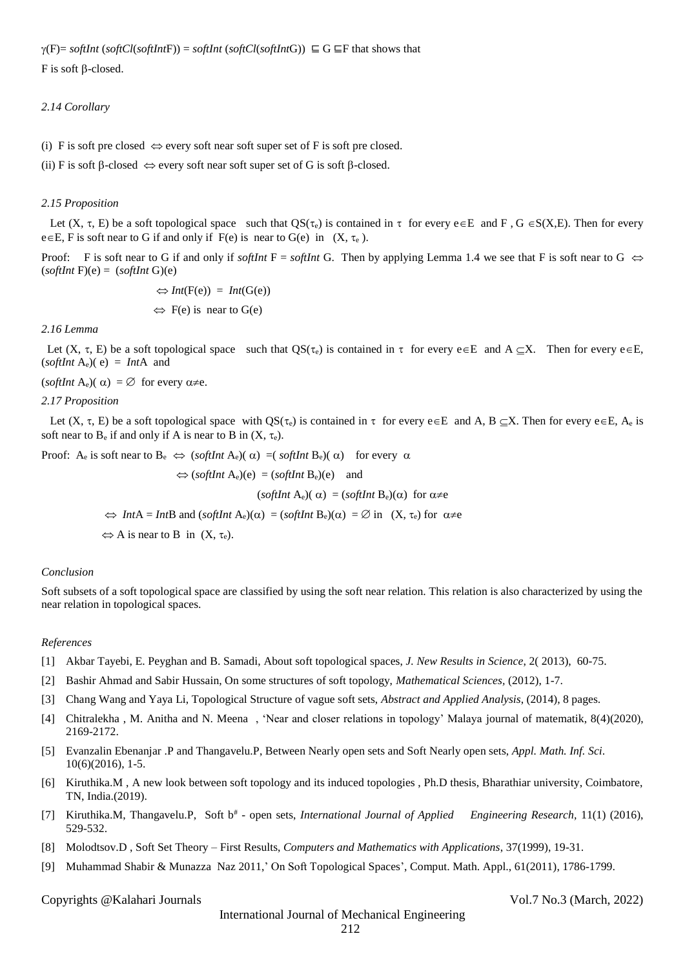# *2.14 Corollary*

(i) F is soft pre closed  $\Leftrightarrow$  every soft near soft super set of F is soft pre closed.

(ii) F is soft  $\beta$ -closed  $\Leftrightarrow$  every soft near soft super set of G is soft  $\beta$ -closed.

# *2.15 Proposition*

Let  $(X, \tau, E)$  be a soft topological space such that  $OS(\tau_e)$  is contained in  $\tau$  for every  $e \in E$  and  $F$ ,  $G \in S(X,E)$ . Then for every  $e \in E$ , F is soft near to G if and only if F(e) is near to G(e) in  $(X, \tau_e)$ .

Proof: F is soft near to G if and only if *softInt* F = *softInt* G. Then by applying Lemma 1.4 we see that F is soft near to G  $\Leftrightarrow$  $(softhnt F)(e) = (softInt G)(e)$ 

$$
\Leftrightarrow Int(F(e)) = Int(G(e))
$$
  

$$
\Leftrightarrow F(e) \text{ is near to } G(e)
$$

*2.16 Lemma*

Let  $(X, \tau, E)$  be a soft topological space such that  $QS(\tau_e)$  is contained in  $\tau$  for every  $e \in E$  and  $A \subseteq X$ . Then for every  $e \in E$ ,  $(s$ *oftInt*  $A_e$  $)(e) = Int A$  and

(*softInt* A<sub>e</sub>)( $\alpha$ ) =  $\varnothing$  for every  $\alpha \neq e$ .

## *2.17 Proposition*

Let  $(X, \tau, E)$  be a soft topological space with  $QS(\tau_e)$  is contained in  $\tau$  for every  $e \in E$  and A, B  $\subseteq X$ . Then for every  $e \in E$ , A<sub>e</sub> is soft near to  $B_e$  if and only if A is near to B in  $(X, \tau_e)$ .

Proof:  $A_e$  is soft near to  $B_e \Leftrightarrow$  (*softInt*  $A_e$ )( $\alpha$ ) =(*softInt*  $B_e$ )( $\alpha$ ) for every  $\alpha$ 

$$
\Leftrightarrow (softInt A_e)(e) = (softInt B_e)(e) \text{ and}
$$
  

$$
(softInt A_e)(\alpha) = (softInt B_e)(\alpha) \text{ for } \alpha \neq e
$$
  

$$
\Leftrightarrow Int A = Int B \text{ and } (softInt A_e)(\alpha) = (softInt B_e)(\alpha) = \emptyset \text{ in } (X, \tau_e) \text{ for } \alpha \neq e
$$
  

$$
\Leftrightarrow A \text{ is near to } B \text{ in } (X, \tau_e).
$$

# *Conclusion*

Soft subsets of a soft topological space are classified by using the soft near relation. This relation is also characterized by using the near relation in topological spaces.

# *References*

- [1] Akbar Tayebi, E. Peyghan and B. Samadi, About soft topological spaces, *J. New Results in Science*, 2( 2013), 60-75.
- [2] Bashir Ahmad and Sabir Hussain, On some structures of soft topology, *Mathematical Sciences,* (2012), 1-7.
- [3] Chang Wang and Yaya Li, Topological Structure of vague soft sets, *Abstract and Applied Analysis*, (2014), 8 pages.
- [4] Chitralekha , M. Anitha and N. Meena , 'Near and closer relations in topology' Malaya journal of matematik, 8(4)(2020), 2169-2172.
- [5] Evanzalin Ebenanjar .P and Thangavelu.P, Between Nearly open sets and Soft Nearly open sets, *Appl. Math. Inf. Sci*. 10(6)(2016), 1-5.
- [6] Kiruthika.M , A new look between soft topology and its induced topologies , Ph.D thesis, Bharathiar university, Coimbatore, TN, India.(2019).
- [7] Kiruthika.M, Thangavelu.P, Soft b<sup>#</sup> open sets, *International Journal of Applied Engineering Research*, 11(1) (2016), 529-532.
- [8] Molodtsov.D , Soft Set Theory First Results, *Computers and Mathematics with Applications*, 37(1999), 19-31.
- [9] Muhammad Shabir & Munazza Naz 2011,' On Soft Topological Spaces', Comput. Math. Appl., 61(2011), 1786-1799.

Copyrights @Kalahari Journals Vol.7 No.3 (March, 2022)